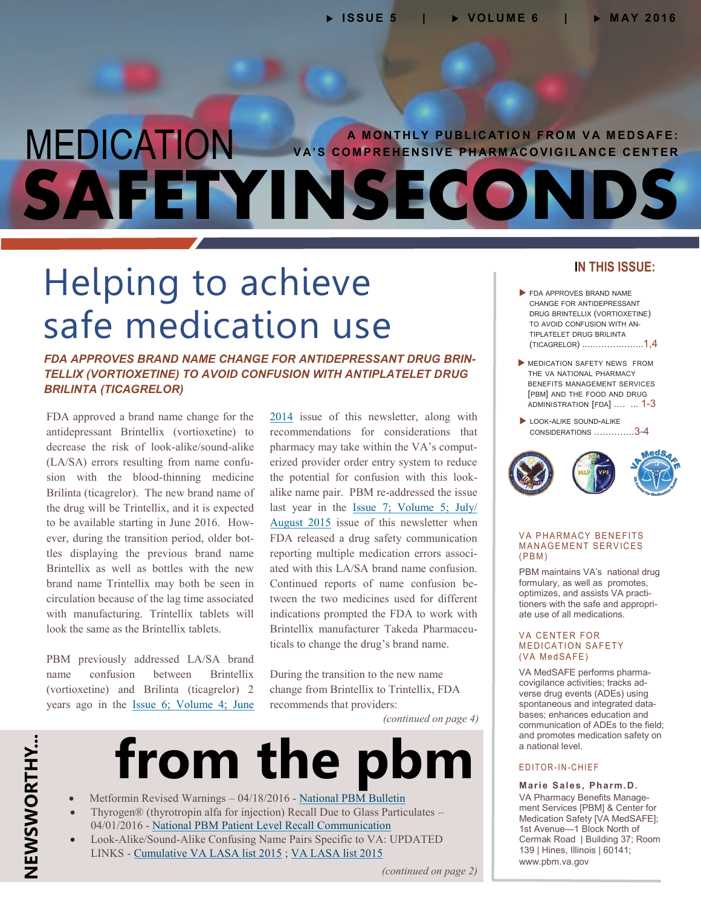### <span id="page-0-0"></span>MEDICATION **SAFETYINSECONDS A MONTHLY PUBLICATION FROM VA MEDSAFE: VA'S COMPREHENSIVE PHARMACOVIGILANCE CENTER**

## Helping to achieve safe medication use

*- FDA APPROVES BRAND NAME CHANGE FOR ANTIDEPRESSANT DRUG BRIN TELLIX (VORTIOXETINE) TO AVOID CONFUSION WITH ANTIPLATELET DRUG BRILINTA (TICAGRELOR)* 

(LA/SA) errors resulting from name confu-- to be available starting in June 2016. How ever, during the transition period, older bot-FDA approved a brand name change for the antidepressant Brintellix (vortioxetine) to decrease the risk of look-alike/sound-alike sion with the blood-thinning medicine Brilinta (ticagrelor). The new brand name of the drug will be Trintellix, and it is expected tles displaying the previous brand name Brintellix as well as bottles with the new brand name Trintellix may both be seen in circulation because of the lag time associated with manufacturing. Trintellix tablets will look the same as the Brintellix tablets.

PBM previously addressed LA/SA brand name confusion between Brintellix (vortioxetine) and Brilinta (ticagrelor) 2 years ago in the **Issue 6**; Volume 4; June

- pharmacy may take within the VA's comput - reporting multiple medication errors associ - Continued reports of name confusion be - Brintellix manufacturer Takeda Pharmaceu 2014 issue of this newsletter, along with recommendations for considerations that erized provider order entry system to reduce the potential for confusion with this lookalike name pair. PBM re-addressed the issue last year in the <u>Issue 7; Volume 5; July</u> [August 2015 issue of this newsletter when](http://www.pbm.va.gov/PBM/vacenterformedicationsafety/newsletter/Medication_Safety_in_Seconds_Jul_Aug_2015_FINAL.pdf)  FDA released a drug safety communication ated with this LA/SA brand name confusion. tween the two medicines used for different indications prompted the FDA to work with ticals to change the drug's brand name.

During the transition to the new name change from Brintellix to Trintellix, FDA recommends that providers:

*(continued on page 4)* 

# **NEWSWORTHY... NEWSWORTHY...**

## from the pl

- Metformin Revised Warnings 04/18/2016 [National PBM Bulletin](http://www.pbm.va.gov/PBM/vacenterformedicationsafety/nationalpbmbulletin/Metformin_Revised_Warnings_NATIONAL_PBM_BULLETIN_041816_FINAL.pdf)
- Thyrogen® (thyrotropin alfa for injection) Recall Due to Glass Particulates 04/01/2016 - [National PBM Patient Level Recall Communication](http://www.pbm.va.gov/PBM/vacenterformedicationsafety/nationalpbmcommunication/Thyrotropin_alfa_Thyrogen_Recall_Due_to_Glass_Particulates_National_PB.pdf)
- LINKS [Cumulative VA LASA list 2015](http://www.pbm.va.gov/PBM/vacenterformedicationsafety/othervasafetyprojects/Cumulative_VA_LASA_list_2015.pdf) ; [VA LASA list 2015](http://www.pbm.va.gov/PBM/vacenterformedicationsafety/othervasafetyprojects/VA_LASA_list_2015.pdf) Look-Alike/Sound-Alike Confusing Name Pairs Specific to VA: UPDATED

#### **IN THIS ISSUE:**

- **FDA APPROVES BRAND NAME** CHANGE FOR ANTIDEPRESSANT DRUG BRINTELLIX (VORTIOXETINE) TO AVOID CONFUSION WITH AN - TIPLATELET DRUG BRILINTA [\(TICAGRELOR\) ..………………..1,4](#page-0-0)
- **MEDICATION SAFETY NEWS FROM** THE VA NATIONAL PHARMACY BENEFITS MANAGEMENT SERVICES [PBM] AND THE FOOD AND DRUG [ADMINISTRATION \[FDA\] .… ... 1](#page-0-0)-3
- LOOK-ALIKE SOUND-ALIKE [CONSIDERATIONS ….……….3](#page-2-0)-4



#### **VA PHARMACY BENEFITS MANAGEMENT SERVICES**  $(PBM)$

optimizes, and assists VA practitioners with the safe and appropri-PBM maintains VA's national drug formulary, as well as promotes, ate use of all medications.

#### VA CENTER FOR MEDICATION SAFETY (VA MedSAFE)

- VA MedSAFE performs pharma - covigilance activities; tracks ad - spontaneous and integrated data verse drug events (ADEs) using bases; enhances education and communication of ADEs to the field; and promotes medication safety on a national level.

#### E D I T O R - I N - C H I E F

- VA Pharmacy Benefits Manage **Marie Sales, Pharm.D.**  ment Services [PBM] & Center for Medication Safety [VA MedSAFE]; 1st Avenue—1 Block North of Cermak Road | Building 37; Room 139 | Hines, Illinois | 60141; www.pbm.va.gov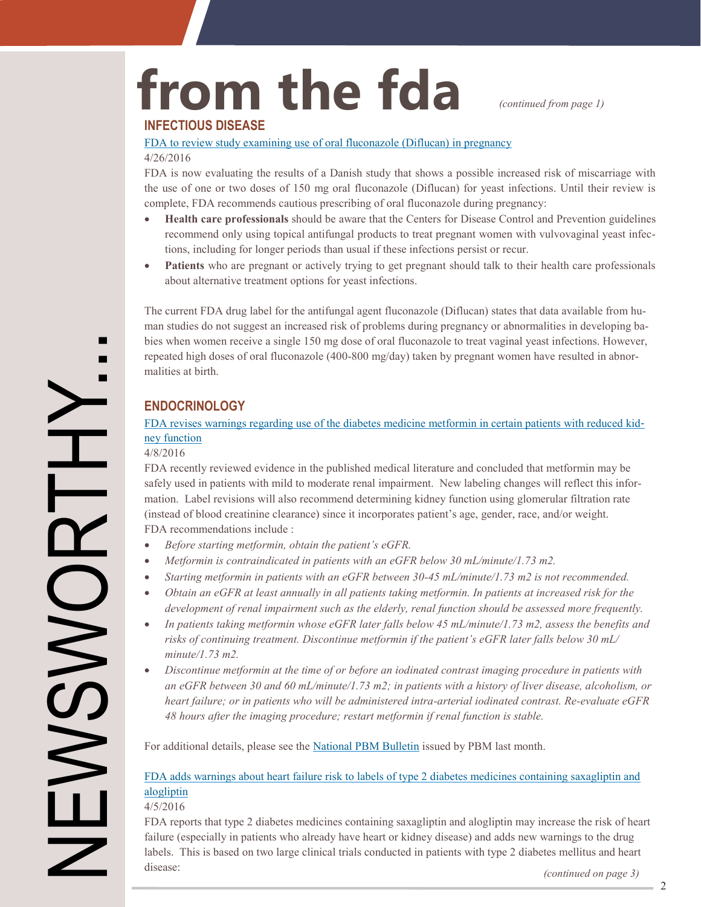## from the fda *(continued from page 1)*

**INFECTIOUS DISEASE** 

#### FDA to review study examining use of oral fluconazole (Diflucan) in pregnancy

#### 4/26/2016

FDA is now evaluating the results of a Danish study that shows a possible increased risk of miscarriage with the use of one or two doses of 150 mg oral fluconazole (Diflucan) for yeast infections. Until their review is complete, FDA recommends cautious prescribing of oral fluconazole during pregnancy:

- **Health care professionals** should be aware that the Centers for Disease Control and Prevention guidelines recommend only using topical antifungal products to treat pregnant women with vulvovaginal yeast infec tions, including for longer periods than usual if these infections persist or recur.
- Patients who are pregnant or actively trying to get pregnant should talk to their health care professionals about alternative treatment options for yeast infections.

The current FDA drug label for the antifungal agent fluconazole (Diflucan) states that data available from human studies do not suggest an increased risk of problems during pregnancy or abnormalities in developing barepeated high doses of oral fluconazole (400-800 mg/day) taken by pregnant women have resulted in abnorbies when women receive a single 150 mg dose of oral fluconazole to treat vaginal yeast infections. However, malities at birth.

#### **ENDOCRINOLOGY**

#### [FDA revises warnings regarding use of the diabetes medicine metformin in certain patients with reduced kid](http://www.fda.gov/Drugs/DrugSafety/ucm493244.htm)ney function

4/8/2016

NEWSWORTHY.

**NOWS** 

IEW

 $\overline{\phantom{a}}$ 

 $\frac{1}{\sqrt{2}}$ 

safely used in patients with mild to moderate renal impairment. New labeling changes will reflect this infor-FDA recently reviewed evidence in the published medical literature and concluded that metformin may be mation. Label revisions will also recommend determining kidney function using glomerular filtration rate (instead of blood creatinine clearance) since it incorporates patient's age, gender, race, and/or weight. FDA recommendations include :

- *Before starting metformin, obtain the patient's eGFR.*
- *Metformin is contraindicated in patients with an eGFR below 30 mL/minute/1.73 m2.*
- *Starting metformin in patients with an eGFR between 30-45 mL/minute/1.73 m2 is not recommended.*
- *Obtain an eGFR at least annually in all patients taking metformin. In patients at increased risk for the development of renal impairment such as the elderly, renal function should be assessed more frequently.*
- *In patients taking metformin whose eGFR later falls below 45 mL/minute/1.73 m2, assess the benefits and risks of continuing treatment. Discontinue metformin if the patient's eGFR later falls below 30 mL/ minute/1.73 m2.*
- *Discontinue metformin at the time of or before an iodinated contrast imaging procedure in patients with an eGFR between 30 and 60 mL/minute/1.73 m2; in patients with a history of liver disease, alcoholism, or heart failure; or in patients who will be administered intra-arterial iodinated contrast. Re-evaluate eGFR 48 hours after the imaging procedure; restart metformin if renal function is stable.*

For additional details, please see the [National PBM Bulletin i](http://www.pbm.va.gov/PBM/vacenterformedicationsafety/nationalpbmbulletin/Metformin_Revised_Warnings_NATIONAL_PBM_BULLETIN_041816_FINAL.pdf)ssued by PBM last month.

#### [FDA adds warnings about heart failure risk to labels of type 2 diabetes medicines containing saxagliptin and](http://www.fda.gov/Drugs/DrugSafety/ucm486096.htm)  alogliptin

#### 4/5/2016

FDA reports that type 2 diabetes medicines containing saxagliptin and alogliptin may increase the risk of heart failure (especially in patients who already have heart or kidney disease) and adds new warnings to the drug labels. This is based on two large clinical trials conducted in patients with type 2 diabetes mellitus and heart disease: *(continued on page 3)* 

2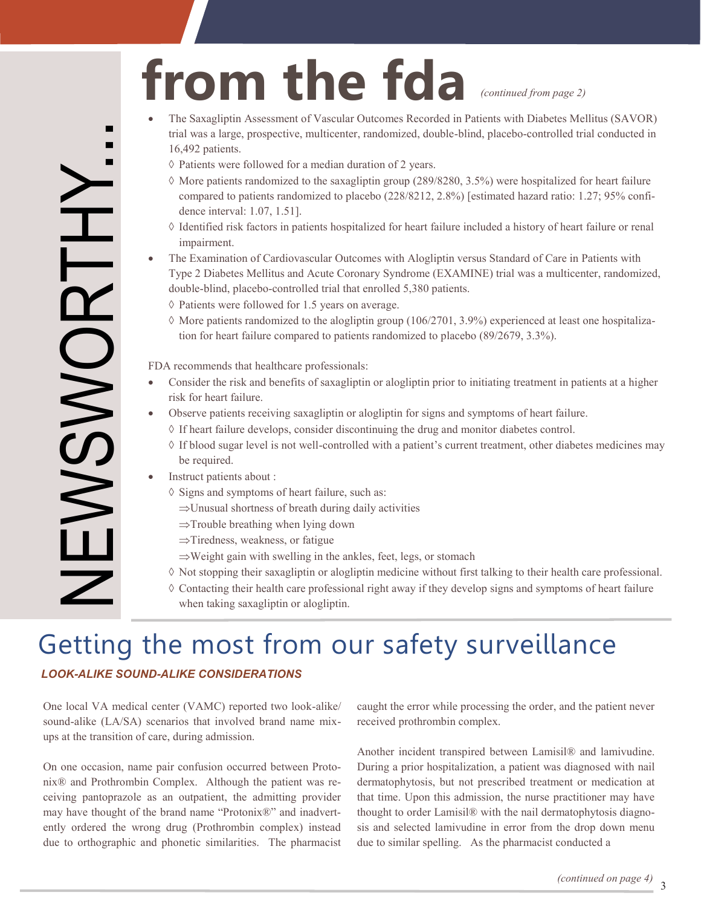## from the fda *(continued from page 2)*

- The Saxagliptin Assessment of Vascular Outcomes Recorded in Patients with Diabetes Mellitus (SAVOR) trial was a large, prospective, multicenter, randomized, double-blind, placebo-controlled trial conducted in 16,492 patients.
	- $\diamond$  Patients were followed for a median duration of 2 years.
	- $\Diamond$  More patients randomized to the saxagliptin group (289/8280, 3.5%) were hospitalized for heart failure compared to patients randomized to placebo (228/8212, 2.8%) [estimated hazard ratio: 1.27; 95% confi dence interval: 1.07, 1.51].
	- $\Diamond$  Identified risk factors in patients hospitalized for heart failure included a history of heart failure or renal impairment.
- The Examination of Cardiovascular Outcomes with Alogliptin versus Standard of Care in Patients with Type 2 Diabetes Mellitus and Acute Coronary Syndrome (EXAMINE) trial was a multicenter, randomized, double-blind, placebo-controlled trial that enrolled 5,380 patients.
	- $\diamond$  Patients were followed for 1.5 years on average.
	- $\Diamond$  More patients randomized to the alogliptin group (106/2701, 3.9%) experienced at least one hospitalization for heart failure compared to patients randomized to placebo (89/2679, 3.3%).

FDA recommends that healthcare professionals:

- Consider the risk and benefits of saxagliptin or alogliptin prior to initiating treatment in patients at a higher risk for heart failure.
- Observe patients receiving saxagliptin or alogliptin for signs and symptoms of heart failure.  $\Diamond$  If heart failure develops, consider discontinuing the drug and monitor diabetes control.
	- If blood sugar level is not well-controlled with a patient's current treatment, other diabetes medicines may be required.
- Instruct patients about :
	- $\Diamond$  Signs and symptoms of heart failure, such as:
		- $\Rightarrow$ Unusual shortness of breath during daily activities
		- $\Rightarrow$ Trouble breathing when lying down
		- $\Rightarrow$ Tiredness, weakness, or fatigue
	- $\Rightarrow$ Weight gain with swelling in the ankles, feet, legs, or stomach
	- Not stopping their saxagliptin or alogliptin medicine without first talking to their health care professional.
	- $\Diamond$  Contacting their health care professional right away if they develop signs and symptoms of heart failure when taking saxagliptin or alogliptin.

## Getting the most from our safety surveillance

#### *LOOK-ALIKE SOUND-ALIKE CONSIDERATIONS*

<span id="page-2-0"></span>NEWSWORTHY...

VSWORTI

П

 One local VA medical center (VAMC) reported two look-alike/ sound-alike (LA/SA) scenarios that involved brand name mix-ups at the transition of care, during admission.

- On one occasion, name pair confusion occurred between Proto nix® and Prothrombin Complex. Although the patient was receiving pantoprazole as an outpatient, the admitting provider may have thought of the brand name "Protonix®" and inadvert ently ordered the wrong drug (Prothrombin complex) instead due to orthographic and phonetic similarities. The pharmacist

caught the error while processing the order, and the patient never received prothrombin complex.

- thought to order Lamisil® with the nail dermatophytosis diagno-Another incident transpired between Lamisil® and lamivudine. During a prior hospitalization, a patient was diagnosed with nail dermatophytosis, but not prescribed treatment or medication at that time. Upon this admission, the nurse practitioner may have sis and selected lamivudine in error from the drop down menu due to similar spelling. As the pharmacist conducted a